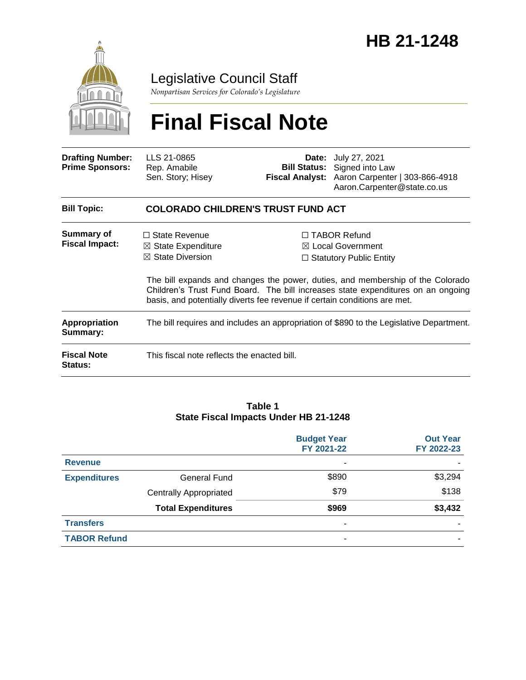

## Legislative Council Staff

*Nonpartisan Services for Colorado's Legislature*

# **Final Fiscal Note**

| <b>Drafting Number:</b><br><b>Prime Sponsors:</b> | LLS 21-0865<br>Rep. Amabile<br>Sen. Story; Hisey                                                                                                                  |  | <b>Date:</b> July 27, 2021<br><b>Bill Status:</b> Signed into Law<br>Fiscal Analyst: Aaron Carpenter   303-866-4918<br>Aaron.Carpenter@state.co.us                                                                                                     |  |  |
|---------------------------------------------------|-------------------------------------------------------------------------------------------------------------------------------------------------------------------|--|--------------------------------------------------------------------------------------------------------------------------------------------------------------------------------------------------------------------------------------------------------|--|--|
| <b>Bill Topic:</b>                                | <b>COLORADO CHILDREN'S TRUST FUND ACT</b>                                                                                                                         |  |                                                                                                                                                                                                                                                        |  |  |
| Summary of<br><b>Fiscal Impact:</b>               | $\Box$ State Revenue<br>$\boxtimes$ State Expenditure<br>$\boxtimes$ State Diversion<br>basis, and potentially diverts fee revenue if certain conditions are met. |  | □ TABOR Refund<br>$\boxtimes$ Local Government<br>$\Box$ Statutory Public Entity<br>The bill expands and changes the power, duties, and membership of the Colorado<br>Children's Trust Fund Board. The bill increases state expenditures on an ongoing |  |  |
| <b>Appropriation</b><br>Summary:                  | The bill requires and includes an appropriation of \$890 to the Legislative Department.                                                                           |  |                                                                                                                                                                                                                                                        |  |  |
| <b>Fiscal Note</b><br>Status:                     | This fiscal note reflects the enacted bill.                                                                                                                       |  |                                                                                                                                                                                                                                                        |  |  |

#### **Table 1 State Fiscal Impacts Under HB 21-1248**

|                     |                               | <b>Budget Year</b><br>FY 2021-22 | <b>Out Year</b><br>FY 2022-23 |
|---------------------|-------------------------------|----------------------------------|-------------------------------|
| <b>Revenue</b>      |                               | ٠                                |                               |
| <b>Expenditures</b> | General Fund                  | \$890                            | \$3,294                       |
|                     | <b>Centrally Appropriated</b> | \$79                             | \$138                         |
|                     | <b>Total Expenditures</b>     | \$969                            | \$3,432                       |
| <b>Transfers</b>    |                               | ۰                                |                               |
| <b>TABOR Refund</b> |                               | ۰                                |                               |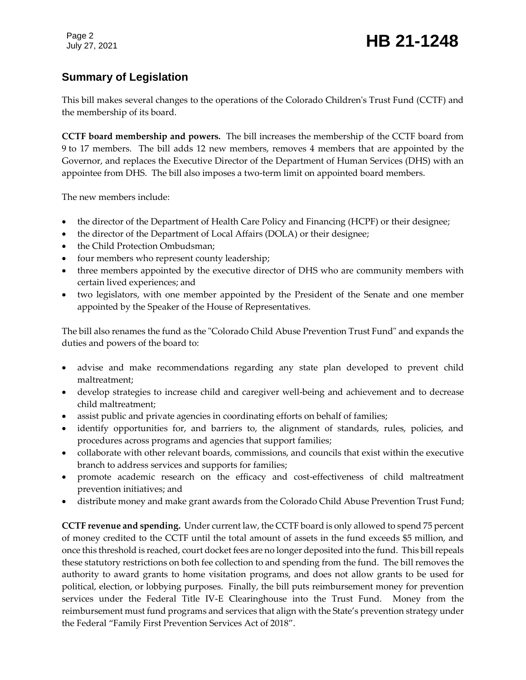### **Summary of Legislation**

This bill makes several changes to the operations of the Colorado Children's Trust Fund (CCTF) and the membership of its board.

**CCTF board membership and powers.** The bill increases the membership of the CCTF board from 9 to 17 members. The bill adds 12 new members, removes 4 members that are appointed by the Governor, and replaces the Executive Director of the Department of Human Services (DHS) with an appointee from DHS. The bill also imposes a two-term limit on appointed board members.

The new members include:

- the director of the Department of Health Care Policy and Financing (HCPF) or their designee;
- the director of the Department of Local Affairs (DOLA) or their designee;
- the Child Protection Ombudsman;
- four members who represent county leadership;
- three members appointed by the executive director of DHS who are community members with certain lived experiences; and
- two legislators, with one member appointed by the President of the Senate and one member appointed by the Speaker of the House of Representatives.

The bill also renames the fund as the "Colorado Child Abuse Prevention Trust Fund" and expands the duties and powers of the board to:

- advise and make recommendations regarding any state plan developed to prevent child maltreatment;
- develop strategies to increase child and caregiver well-being and achievement and to decrease child maltreatment;
- assist public and private agencies in coordinating efforts on behalf of families;
- identify opportunities for, and barriers to, the alignment of standards, rules, policies, and procedures across programs and agencies that support families;
- collaborate with other relevant boards, commissions, and councils that exist within the executive branch to address services and supports for families;
- promote academic research on the efficacy and cost-effectiveness of child maltreatment prevention initiatives; and
- distribute money and make grant awards from the Colorado Child Abuse Prevention Trust Fund;

**CCTF revenue and spending.** Under current law, the CCTF board is only allowed to spend 75 percent of money credited to the CCTF until the total amount of assets in the fund exceeds \$5 million, and once this threshold is reached, court docket fees are no longer deposited into the fund. This bill repeals these statutory restrictions on both fee collection to and spending from the fund. The bill removes the authority to award grants to home visitation programs, and does not allow grants to be used for political, election, or lobbying purposes. Finally, the bill puts reimbursement money for prevention services under the Federal Title IV-E Clearinghouse into the Trust Fund. Money from the reimbursement must fund programs and services that align with the State's prevention strategy under the Federal "Family First Prevention Services Act of 2018".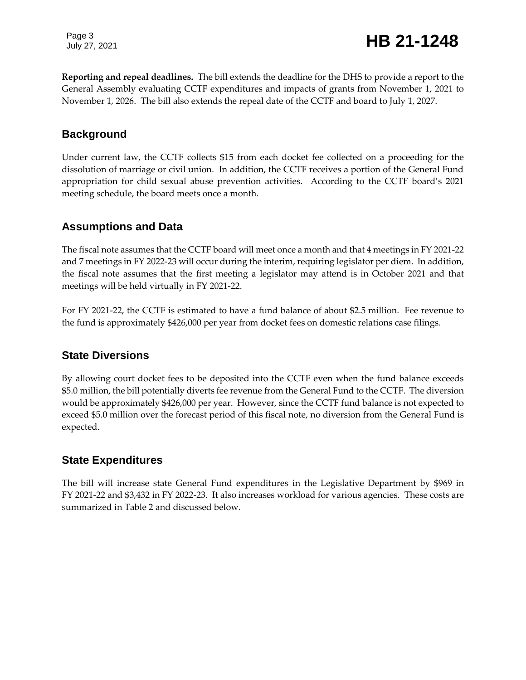Page 3

**Reporting and repeal deadlines.** The bill extends the deadline for the DHS to provide a report to the General Assembly evaluating CCTF expenditures and impacts of grants from November 1, 2021 to November 1, 2026. The bill also extends the repeal date of the CCTF and board to July 1, 2027.

### **Background**

Under current law, the CCTF collects \$15 from each docket fee collected on a proceeding for the dissolution of marriage or civil union. In addition, the CCTF receives a portion of the General Fund appropriation for child sexual abuse prevention activities. According to the CCTF board's 2021 meeting schedule, the board meets once a month.

### **Assumptions and Data**

The fiscal note assumes that the CCTF board will meet once a month and that 4 meetings in FY 2021-22 and 7 meetings in FY 2022-23 will occur during the interim, requiring legislator per diem. In addition, the fiscal note assumes that the first meeting a legislator may attend is in October 2021 and that meetings will be held virtually in FY 2021-22.

For FY 2021-22, the CCTF is estimated to have a fund balance of about \$2.5 million. Fee revenue to the fund is approximately \$426,000 per year from docket fees on domestic relations case filings.

#### **State Diversions**

By allowing court docket fees to be deposited into the CCTF even when the fund balance exceeds \$5.0 million, the bill potentially diverts fee revenue from the General Fund to the CCTF. The diversion would be approximately \$426,000 per year. However, since the CCTF fund balance is not expected to exceed \$5.0 million over the forecast period of this fiscal note, no diversion from the General Fund is expected.

### **State Expenditures**

The bill will increase state General Fund expenditures in the Legislative Department by \$969 in FY 2021-22 and \$3,432 in FY 2022-23. It also increases workload for various agencies. These costs are summarized in Table 2 and discussed below.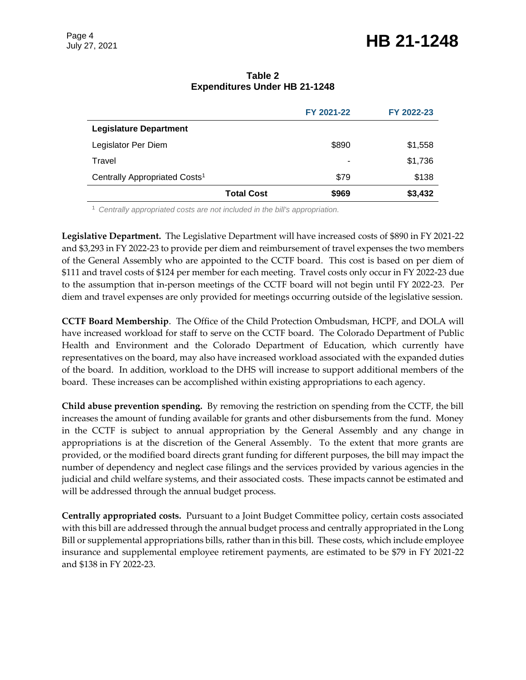# Page 4<br>July 27, 2021 **HB 21-1248**

#### **Table 2 Expenditures Under HB 21-1248**

|                                           |                   | FY 2021-22 | FY 2022-23 |
|-------------------------------------------|-------------------|------------|------------|
| <b>Legislature Department</b>             |                   |            |            |
| Legislator Per Diem                       |                   | \$890      | \$1,558    |
| Travel                                    |                   | ٠          | \$1,736    |
| Centrally Appropriated Costs <sup>1</sup> |                   | \$79       | \$138      |
|                                           | <b>Total Cost</b> | \$969      | \$3,432    |

<sup>1</sup> *Centrally appropriated costs are not included in the bill's appropriation.*

**Legislative Department.** The Legislative Department will have increased costs of \$890 in FY 2021-22 and \$3,293 in FY 2022-23 to provide per diem and reimbursement of travel expenses the two members of the General Assembly who are appointed to the CCTF board. This cost is based on per diem of \$111 and travel costs of \$124 per member for each meeting. Travel costs only occur in FY 2022-23 due to the assumption that in-person meetings of the CCTF board will not begin until FY 2022-23. Per diem and travel expenses are only provided for meetings occurring outside of the legislative session.

**CCTF Board Membership**. The Office of the Child Protection Ombudsman, HCPF, and DOLA will have increased workload for staff to serve on the CCTF board. The Colorado Department of Public Health and Environment and the Colorado Department of Education, which currently have representatives on the board, may also have increased workload associated with the expanded duties of the board. In addition, workload to the DHS will increase to support additional members of the board. These increases can be accomplished within existing appropriations to each agency.

**Child abuse prevention spending.** By removing the restriction on spending from the CCTF, the bill increases the amount of funding available for grants and other disbursements from the fund. Money in the CCTF is subject to annual appropriation by the General Assembly and any change in appropriations is at the discretion of the General Assembly. To the extent that more grants are provided, or the modified board directs grant funding for different purposes, the bill may impact the number of dependency and neglect case filings and the services provided by various agencies in the judicial and child welfare systems, and their associated costs. These impacts cannot be estimated and will be addressed through the annual budget process.

**Centrally appropriated costs.** Pursuant to a Joint Budget Committee policy, certain costs associated with this bill are addressed through the annual budget process and centrally appropriated in the Long Bill or supplemental appropriations bills, rather than in this bill. These costs, which include employee insurance and supplemental employee retirement payments, are estimated to be \$79 in FY 2021-22 and \$138 in FY 2022-23.